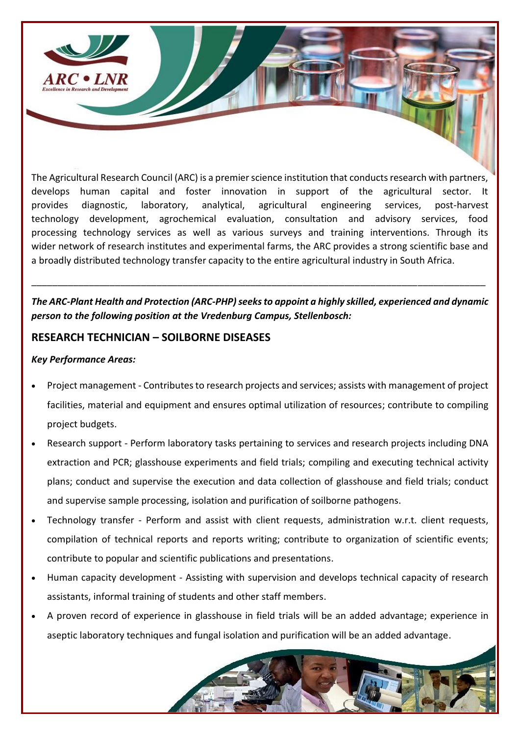

The Agricultural Research Council (ARC) is a premier science institution that conducts research with partners, develops human capital and foster innovation in support of the agricultural sector. It provides diagnostic, laboratory, analytical, agricultural engineering services, post-harvest technology development, agrochemical evaluation, consultation and advisory services, food processing technology services as well as various surveys and training interventions. Through its wider network of research institutes and experimental farms, the ARC provides a strong scientific base and a broadly distributed technology transfer capacity to the entire agricultural industry in South Africa.

## *The ARC-Plant Health and Protection (ARC-PHP)seeks to appoint a highly skilled, experienced and dynamic person to the following position at the Vredenburg Campus, Stellenbosch:*

\_\_\_\_\_\_\_\_\_\_\_\_\_\_\_\_\_\_\_\_\_\_\_\_\_\_\_\_\_\_\_\_\_\_\_\_\_\_\_\_\_\_\_\_\_\_\_\_\_\_\_\_\_\_\_\_\_\_\_\_\_\_\_\_\_\_\_\_\_\_\_\_\_\_\_\_\_\_\_\_\_\_\_\_\_\_\_

## **RESEARCH TECHNICIAN – SOILBORNE DISEASES**

### *Key Performance Areas:*

- Project management Contributes to research projects and services; assists with management of project facilities, material and equipment and ensures optimal utilization of resources; contribute to compiling project budgets.
- Research support Perform laboratory tasks pertaining to services and research projects including DNA extraction and PCR; glasshouse experiments and field trials; compiling and executing technical activity plans; conduct and supervise the execution and data collection of glasshouse and field trials; conduct and supervise sample processing, isolation and purification of soilborne pathogens.
- Technology transfer Perform and assist with client requests, administration w.r.t. client requests, compilation of technical reports and reports writing; contribute to organization of scientific events; contribute to popular and scientific publications and presentations.
- Human capacity development Assisting with supervision and develops technical capacity of research assistants, informal training of students and other staff members.
- A proven record of experience in glasshouse in field trials will be an added advantage; experience in aseptic laboratory techniques and fungal isolation and purification will be an added advantage.